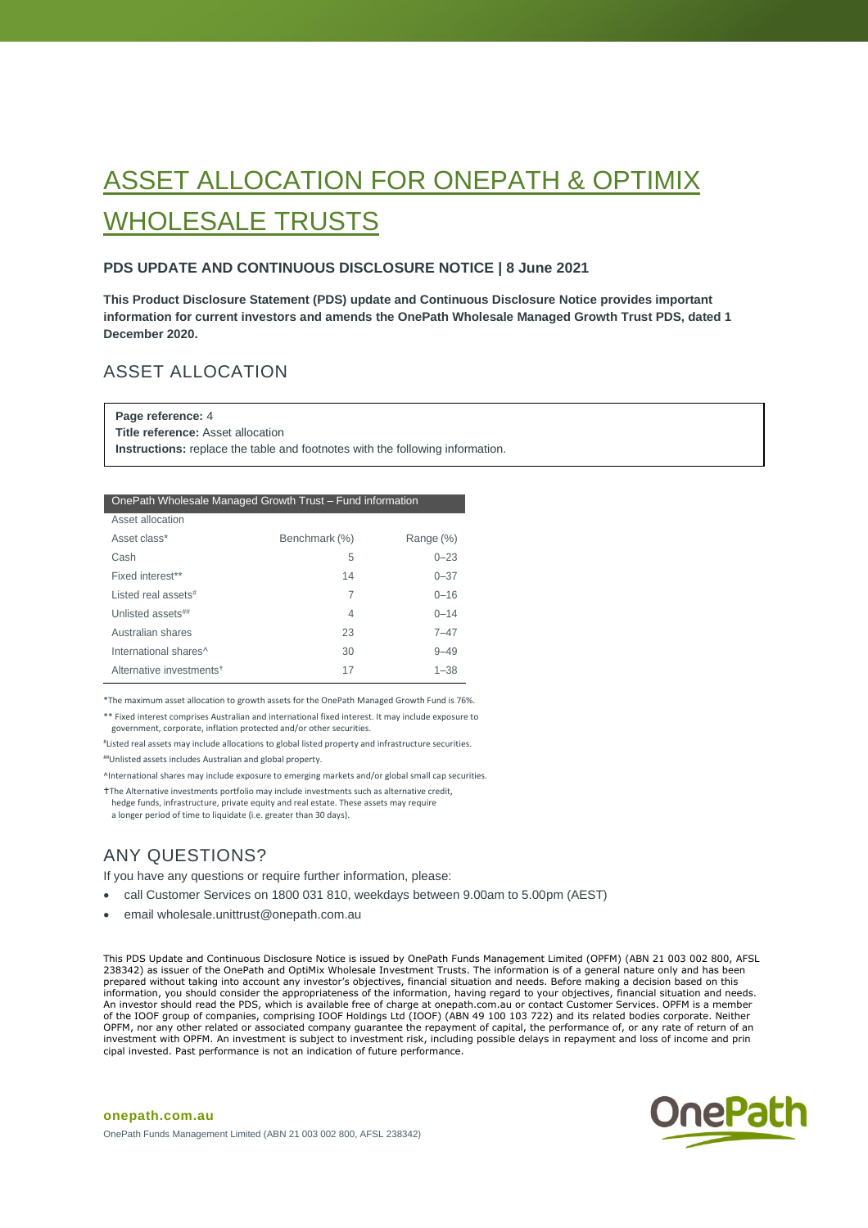# ASSET ALLOCATION FOR ONEPATH & OPTIMIX WHOLESALE TRUSTS

### **PDS UPDATE AND CONTINUOUS DISCLOSURE NOTICE | 8 June 2021**

**This Product Disclosure Statement (PDS) update and Continuous Disclosure Notice provides important information for current investors and amends the OnePath Wholesale Managed Growth Trust PDS, dated 1 December 2020.**

# ASSET ALLOCATION

**Page reference:** 4

**Title reference:** Asset allocation

**Instructions:** replace the table and footnotes with the following information.

#### OnePath Wholesale Managed Growth Trust – Fund information

| Asset allocation                     |               |           |
|--------------------------------------|---------------|-----------|
| Asset class*                         | Benchmark (%) | Range (%) |
| Cash                                 | 5             | $0 - 23$  |
| Fixed interest**                     | 14            | $0 - 37$  |
| Listed real assets#                  | 7             | $0 - 16$  |
| Unlisted assets##                    | 4             | $0 - 14$  |
| Australian shares                    | 23            | $7 - 47$  |
| International shares <sup>^</sup>    | 30            | $9 - 49$  |
| Alternative investments <sup>+</sup> | 17            | $1 - 38$  |

\*The maximum asset allocation to growth assets for the OnePath Managed Growth Fund is 76%.

\*\* Fixed interest comprises Australian and international fixed interest. It may include exposure to government, corporate, inflation protected and/or other securities.

# Listed real assets may include allocations to global listed property and infrastructure securities.

##Unlisted assets includes Australian and global property.

^International shares may include exposure to emerging markets and/or global small cap securities.

The Alternative investments portfolio may include investments such as alternative credit, hedge funds, infrastructure, private equity and real estate. These assets may require a longer period of time to liquidate (i.e. greater than 30 days).

# ANY QUESTIONS?

**onepath.com.au**

If you have any questions or require further information, please:

- call Customer Services on 1800 031 810, weekdays between 9.00am to 5.00pm (AEST)
- email wholesale.unittrust@onepath.com.au

This PDS Update and Continuous Disclosure Notice is issued by OnePath Funds Management Limited (OPFM) (ABN 21 003 002 800, AFSL 238342) as issuer of the OnePath and OptiMix Wholesale Investment Trusts. The information is of a general nature only and has been prepared without taking into account any investor's objectives, financial situation and needs. Before making a decision based on this information, you should consider the appropriateness of the information, having regard to your objectives, financial situation and needs. An investor should read the PDS, which is available free of charge at onepath.com.au or contact Customer Services. OPFM is a member of the IOOF group of companies, comprising IOOF Holdings Ltd (IOOF) (ABN 49 100 103 722) and its related bodies corporate. Neither<br>OPFM, nor any other related or associated company guarantee the repayment of capital, the p investment with OPFM. An investment is subject to investment risk, including possible delays in repayment and loss of income and prin cipal invested. Past performance is not an indication of future performance.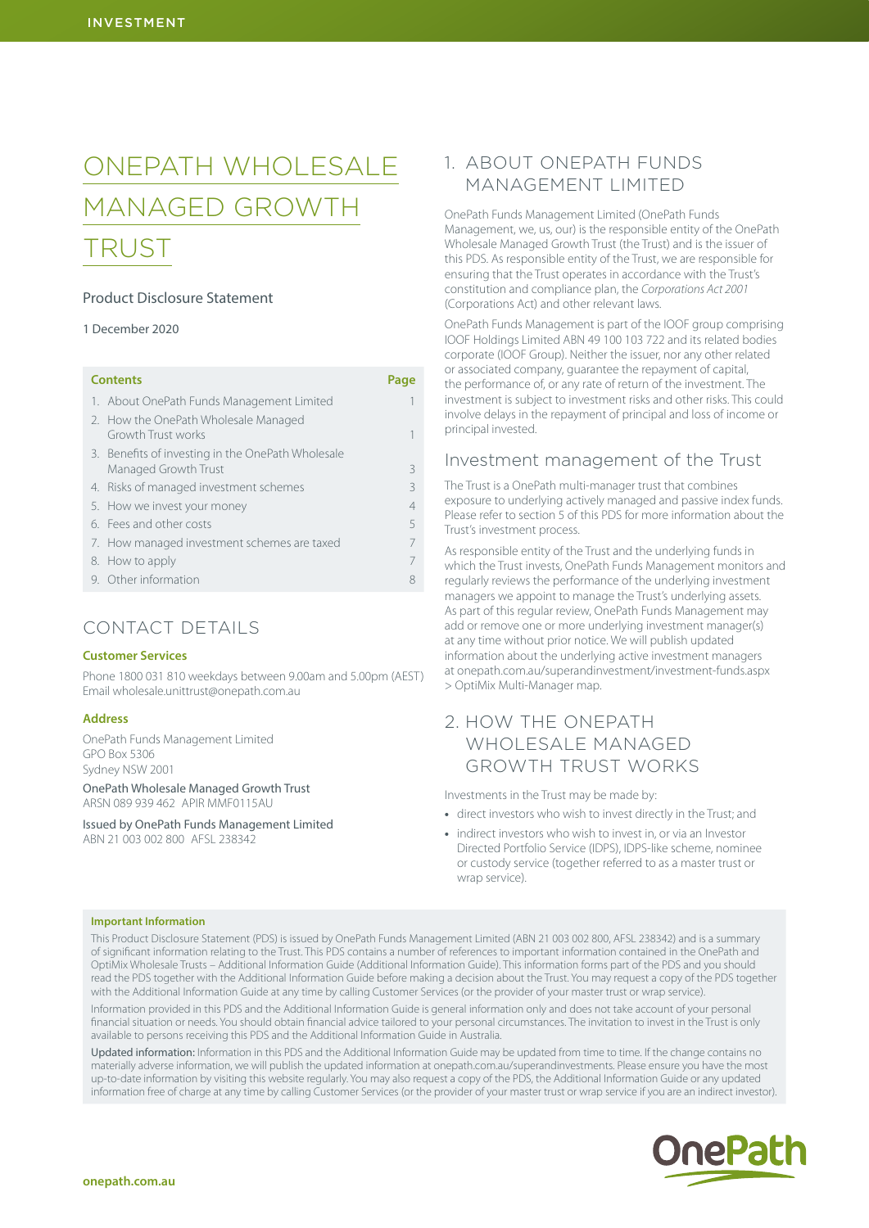# ONEPATH WHOLESALE MANAGED GROWTH TRUST

### Product Disclosure Statement

### 1 December 2020

| <b>Contents</b>                                                   | Page           |
|-------------------------------------------------------------------|----------------|
| 1. About OnePath Funds Management Limited                         |                |
| 2. How the OnePath Wholesale Managed<br><b>Growth Trust works</b> |                |
| 3. Benefits of investing in the OnePath Wholesale                 |                |
| Managed Growth Trust                                              | 3              |
| 4. Risks of managed investment schemes                            | Κ              |
| 5. How we invest your money                                       | $\overline{4}$ |
| 6. Fees and other costs                                           | 5              |
| 7. How managed investment schemes are taxed                       | 7              |
| 8. How to apply                                                   | 7              |
| 9. Other information                                              | 8              |

# CONTACT DETAILS

#### **Customer Services**

Phone 1800 031 810 weekdays between 9.00am and 5.00pm (AEST) Email wholesale.unittrust@onepath.com.au

#### **Address**

OnePath Funds Management Limited GPO Box 5306 Sydney NSW 2001

OnePath Wholesale Managed Growth Trust ARSN 089 939 462 APIR MMF0115AU

Issued by OnePath Funds Management Limited ABN 21 003 002 800 AFSL 238342

# 1. ABOUT ONEPATH FUNDS MANAGEMENT LIMITED

OnePath Funds Management Limited (OnePath Funds Management, we, us, our) is the responsible entity of the OnePath Wholesale Managed Growth Trust (the Trust) and is the issuer of this PDS. As responsible entity of the Trust, we are responsible for ensuring that the Trust operates in accordance with the Trust's constitution and compliance plan, the *Corporations Act 2001* (Corporations Act) and other relevant laws.

OnePath Funds Management is part of the IOOF group comprising IOOF Holdings Limited ABN 49 100 103 722 and its related bodies corporate (IOOF Group). Neither the issuer, nor any other related or associated company, guarantee the repayment of capital, the performance of, or any rate of return of the investment. The investment is subject to investment risks and other risks. This could involve delays in the repayment of principal and loss of income or principal invested.

### Investment management of the Trust

The Trust is a OnePath multi-manager trust that combines exposure to underlying actively managed and passive index funds. Please refer to section 5 of this PDS for more information about the Trust's investment process.

As responsible entity of the Trust and the underlying funds in which the Trust invests, OnePath Funds Management monitors and regularly reviews the performance of the underlying investment managers we appoint to manage the Trust's underlying assets. As part of this regular review, OnePath Funds Management may add or remove one or more underlying investment manager(s) at any time without prior notice. We will publish updated information about the underlying active investment managers at [onepath.com.au/superandinvestment/investment-funds.aspx](http://onepath.com.au/superandinvestment/investment-funds.aspx) > OptiMix Multi-Manager map.

# 2. HOW THE ONEPATH WHOLESALE MANAGED GROWTH TRUST WORKS

Investments in the Trust may be made by:

- **•** direct investors who wish to invest directly in the Trust; and
- **•** indirect investors who wish to invest in, or via an Investor Directed Portfolio Service (IDPS), IDPS-like scheme, nominee or custody service (together referred to as a master trust or wrap service).

#### **Important Information**

This Product Disclosure Statement (PDS) is issued by OnePath Funds Management Limited (ABN 21 003 002 800, AFSL 238342) and is a summary of significant information relating to the Trust. This PDS contains a number of references to important information contained in the OnePath and OptiMix Wholesale Trusts – Additional Information Guide (Additional Information Guide). This information forms part of the PDS and you should read the PDS together with the Additional Information Guide before making a decision about the Trust. You may request a copy of the PDS together with the Additional Information Guide at any time by calling Customer Services (or the provider of your master trust or wrap service).

Information provided in this PDS and the Additional Information Guide is general information only and does not take account of your personal financial situation or needs. You should obtain financial advice tailored to your personal circumstances. The invitation to invest in the Trust is only available to persons receiving this PDS and the Additional Information Guide in Australia.

Updated information: Information in this PDS and the Additional Information Guide may be updated from time to time. If the change contains no materially adverse information, we will publish the updated information at [onepath.com.au/superandinvestments.](http://www.onepath.com.au/personal-business/performance/product-updates.aspx) Please ensure you have the most up-to-date information by visiting this website regularly. You may also request a copy of the PDS, the Additional Information Guide or any updated information free of charge at any time by calling Customer Services (or the provider of your master trust or wrap service if you are an indirect investor).

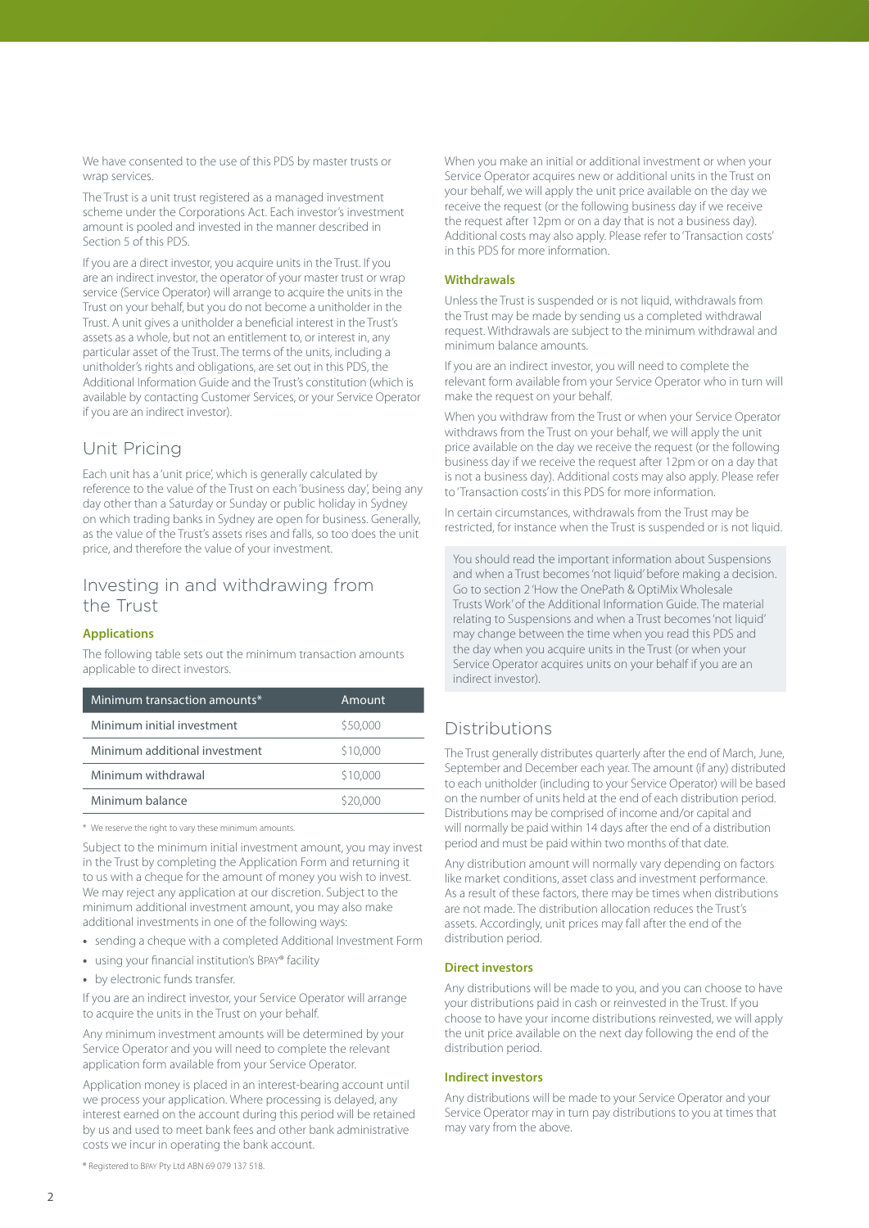We have consented to the use of this PDS by master trusts or wran services.

The Trust is a unit trust registered as a managed investment scheme under the Corporations Act. Each investor's investment amount is pooled and invested in the manner described in Section 5 of this PDS.

If you are a direct investor, you acquire units in the Trust. If you are an indirect investor, the operator of your master trust or wrap service (Service Operator) will arrange to acquire the units in the Trust on your behalf, but you do not become a unitholder in the Trust. A unit gives a unitholder a beneficial interest in the Trust's assets as a whole, but not an entitlement to, or interest in, any particular asset of the Trust. The terms of the units, including a unitholder's rights and obligations, are set out in this PDS, the Additional Information Guide and the Trust's constitution (which is available by contacting Customer Services, or your Service Operator if you are an indirect investor).

# Unit Pricing

Each unit has a 'unit price', which is generally calculated by reference to the value of the Trust on each 'business day', being any day other than a Saturday or Sunday or public holiday in Sydney on which trading banks in Sydney are open for business. Generally, as the value of the Trust's assets rises and falls, so too does the unit price, and therefore the value of your investment.

# Investing in and withdrawing from the Trust

### **Applications**

The following table sets out the minimum transaction amounts applicable to direct investors.

| Minimum transaction amounts*  | Amount   |
|-------------------------------|----------|
| Minimum initial investment    | \$50,000 |
| Minimum additional investment | \$10,000 |
| Minimum withdrawal            | \$10,000 |
| Minimum balance               | \$20,000 |

\* We reserve the right to vary these minimum amounts.

Subject to the minimum initial investment amount, you may invest in the Trust by completing the Application Form and returning it to us with a cheque for the amount of money you wish to invest. We may reject any application at our discretion. Subject to the minimum additional investment amount, you may also make additional investments in one of the following ways:

- **•** sending a cheque with a completed Additional Investment Form
- **•** using your financial institution's Bpay® facility
- **•** by electronic funds transfer.

If you are an indirect investor, your Service Operator will arrange to acquire the units in the Trust on your behalf.

Any minimum investment amounts will be determined by your Service Operator and you will need to complete the relevant application form available from your Service Operator.

Application money is placed in an interest-bearing account until we process your application. Where processing is delayed, any interest earned on the account during this period will be retained by us and used to meet bank fees and other bank administrative costs we incur in operating the bank account.

® Registered to Bpay Pty Ltd ABN 69 079 137 518.

When you make an initial or additional investment or when your Service Operator acquires new or additional units in the Trust on your behalf, we will apply the unit price available on the day we receive the request (or the following business day if we receive the request after 12pm or on a day that is not a business day). Additional costs may also apply. Please refer to 'Transaction costs' in this PDS for more information.

### **Withdrawals**

Unless the Trust is suspended or is not liquid, withdrawals from the Trust may be made by sending us a completed withdrawal request. Withdrawals are subject to the minimum withdrawal and minimum balance amounts.

If you are an indirect investor, you will need to complete the relevant form available from your Service Operator who in turn will make the request on your behalf.

When you withdraw from the Trust or when your Service Operator withdraws from the Trust on your behalf, we will apply the unit price available on the day we receive the request (or the following business day if we receive the request after 12pm or on a day that is not a business day). Additional costs may also apply. Please refer to 'Transaction costs' in this PDS for more information.

In certain circumstances, withdrawals from the Trust may be restricted, for instance when the Trust is suspended or is not liquid.

You should read the important information about Suspensions and when a Trust becomes 'not liquid' before making a decision. Go to section 2 'How the OnePath & OptiMix Wholesale Trusts Work' of the Additional Information Guide. The material relating to Suspensions and when a Trust becomes 'not liquid' may change between the time when you read this PDS and the day when you acquire units in the Trust (or when your Service Operator acquires units on your behalf if you are an indirect investor).

# Distributions

The Trust generally distributes quarterly after the end of March, June, September and December each year. The amount (if any) distributed to each unitholder (including to your Service Operator) will be based on the number of units held at the end of each distribution period. Distributions may be comprised of income and/or capital and will normally be paid within 14 days after the end of a distribution period and must be paid within two months of that date.

Any distribution amount will normally vary depending on factors like market conditions, asset class and investment performance. As a result of these factors, there may be times when distributions are not made. The distribution allocation reduces the Trust's assets. Accordingly, unit prices may fall after the end of the distribution period.

### **Direct investors**

Any distributions will be made to you, and you can choose to have your distributions paid in cash or reinvested in the Trust. If you choose to have your income distributions reinvested, we will apply the unit price available on the next day following the end of the distribution period.

### **Indirect investors**

Any distributions will be made to your Service Operator and your Service Operator may in turn pay distributions to you at times that may vary from the above.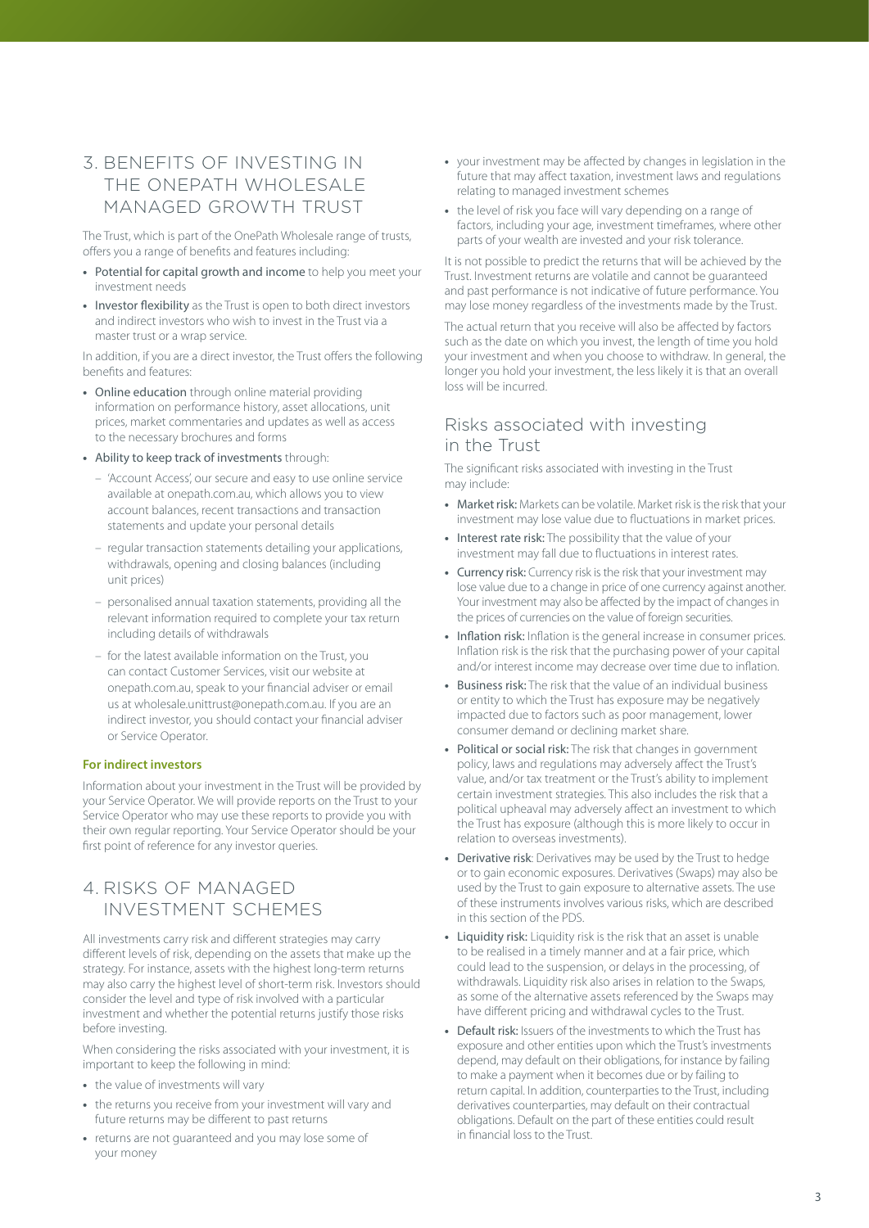# <span id="page-3-0"></span>3. BENEFITS OF INVESTING IN THE ONEPATH WHOLESALE MANAGED GROWTH TRUST

The Trust, which is part of the OnePath Wholesale range of trusts, offers you a range of benefits and features including:

- **•** Potential for capital growth and income to help you meet your investment needs
- **•** Investor flexibility as the Trust is open to both direct investors and indirect investors who wish to invest in the Trust via a master trust or a wrap service.

In addition, if you are a direct investor, the Trust offers the following benefits and features:

- **•** Online education through online material providing information on performance history, asset allocations, unit prices, market commentaries and updates as well as access to the necessary brochures and forms
- **•** Ability to keep track of investments through:
	- 'Account Access', our secure and easy to use online service available at [onepath.com.au,](http://onepath.com.au) which allows you to view account balances, recent transactions and transaction statements and update your personal details
	- regular transaction statements detailing your applications, withdrawals, opening and closing balances (including unit prices)
	- personalised annual taxation statements, providing all the relevant information required to complete your tax return including details of withdrawals
	- for the latest available information on the Trust, you can contact Customer Services, visit our website at [onepath.com.au,](http://onepath.com.au) speak to your financial adviser or email us at wholesale.unittrust@onepath.com.au. If you are an indirect investor, you should contact your financial adviser or Service Operator.

#### **For indirect investors**

Information about your investment in the Trust will be provided by your Service Operator. We will provide reports on the Trust to your Service Operator who may use these reports to provide you with their own regular reporting. Your Service Operator should be your first point of reference for any investor queries.

# 4. RISKS OF MANAGED INVESTMENT SCHEMES

All investments carry risk and different strategies may carry different levels of risk, depending on the assets that make up the strategy. For instance, assets with the highest long-term returns may also carry the highest level of short-term risk. Investors should consider the level and type of risk involved with a particular investment and whether the potential returns justify those risks before investing.

When considering the risks associated with your investment, it is important to keep the following in mind:

- **•** the value of investments will vary
- **•** the returns you receive from your investment will vary and future returns may be different to past returns
- **•** returns are not guaranteed and you may lose some of your money
- **•** your investment may be affected by changes in legislation in the future that may affect taxation, investment laws and regulations relating to managed investment schemes
- **•** the level of risk you face will vary depending on a range of factors, including your age, investment timeframes, where other parts of your wealth are invested and your risk tolerance.

It is not possible to predict the returns that will be achieved by the Trust. Investment returns are volatile and cannot be guaranteed and past performance is not indicative of future performance. You may lose money regardless of the investments made by the Trust.

The actual return that you receive will also be affected by factors such as the date on which you invest, the length of time you hold your investment and when you choose to withdraw. In general, the longer you hold your investment, the less likely it is that an overall loss will be incurred.

## Risks associated with investing in the Trust

The significant risks associated with investing in the Trust may include:

- **•** Market risk: Markets can be volatile. Market risk is the risk that your investment may lose value due to fluctuations in market prices.
- **•** Interest rate risk: The possibility that the value of your investment may fall due to fluctuations in interest rates.
- **Currency risk:** Currency risk is the risk that your investment may lose value due to a change in price of one currency against another. Your investment may also be affected by the impact of changes in the prices of currencies on the value of foreign securities.
- **•** Inflation risk: Inflation is the general increase in consumer prices. Inflation risk is the risk that the purchasing power of your capital and/or interest income may decrease over time due to inflation.
- **•** Business risk: The risk that the value of an individual business or entity to which the Trust has exposure may be negatively impacted due to factors such as poor management, lower consumer demand or declining market share.
- **•** Political or social risk: The risk that changes in government policy, laws and regulations may adversely affect the Trust's value, and/or tax treatment or the Trust's ability to implement certain investment strategies. This also includes the risk that a political upheaval may adversely affect an investment to which the Trust has exposure (although this is more likely to occur in relation to overseas investments).
- **•** Derivative risk: Derivatives may be used by the Trust to hedge or to gain economic exposures. Derivatives (Swaps) may also be used by the Trust to gain exposure to alternative assets. The use of these instruments involves various risks, which are described in this section of the PDS.
- **•** Liquidity risk: Liquidity risk is the risk that an asset is unable to be realised in a timely manner and at a fair price, which could lead to the suspension, or delays in the processing, of withdrawals. Liquidity risk also arises in relation to the Swaps, as some of the alternative assets referenced by the Swaps may have different pricing and withdrawal cycles to the Trust.
- **•** Default risk: Issuers of the investments to which the Trust has exposure and other entities upon which the Trust's investments depend, may default on their obligations, for instance by failing to make a payment when it becomes due or by failing to return capital. In addition, counterparties to the Trust, including derivatives counterparties, may default on their contractual obligations. Default on the part of these entities could result in financial loss to the Trust.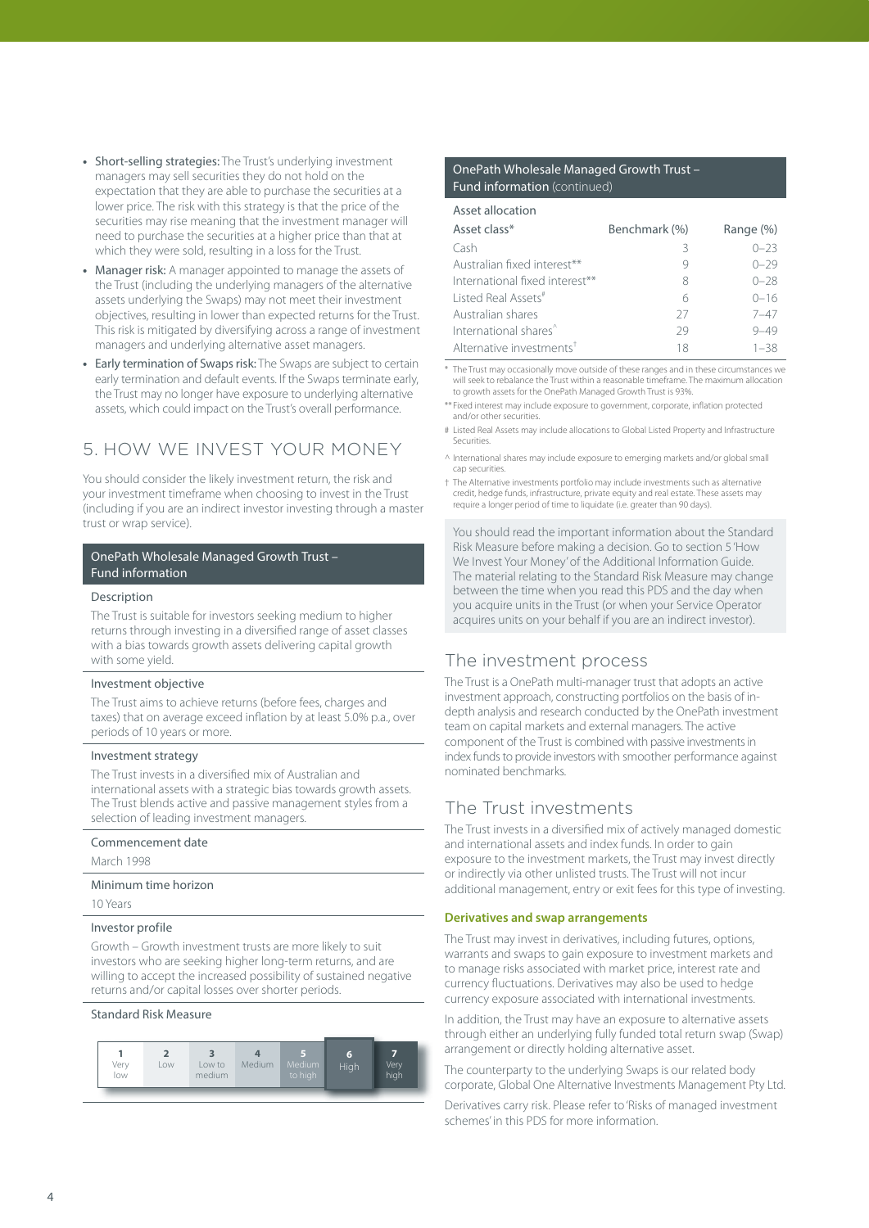- <span id="page-4-0"></span>**•** Short-selling strategies: The Trust's underlying investment managers may sell securities they do not hold on the expectation that they are able to purchase the securities at a lower price. The risk with this strategy is that the price of the securities may rise meaning that the investment manager will need to purchase the securities at a higher price than that at which they were sold, resulting in a loss for the Trust.
- **•** Manager risk: A manager appointed to manage the assets of the Trust (including the underlying managers of the alternative assets underlying the Swaps) may not meet their investment objectives, resulting in lower than expected returns for the Trust. This risk is mitigated by diversifying across a range of investment managers and underlying alternative asset managers.
- **•** Early termination of Swaps risk: The Swaps are subject to certain early termination and default events. If the Swaps terminate early, the Trust may no longer have exposure to underlying alternative assets, which could impact on the Trust's overall performance.

# 5. HOW WE INVEST YOUR MONEY

You should consider the likely investment return, the risk and your investment timeframe when choosing to invest in the Trust (including if you are an indirect investor investing through a master trust or wrap service).

### OnePath Wholesale Managed Growth Trust – Fund information

#### Description

The Trust is suitable for investors seeking medium to higher returns through investing in a diversified range of asset classes with a bias towards growth assets delivering capital growth with some yield.

#### Investment objective

The Trust aims to achieve returns (before fees, charges and taxes) that on average exceed inflation by at least 5.0% p.a., over periods of 10 years or more.

#### Investment strategy

The Trust invests in a diversified mix of Australian and international assets with a strategic bias towards growth assets. The Trust blends active and passive management styles from a selection of leading investment managers.

#### Commencement date

March 1998

### Minimum time horizon

10 Years

### Investor profile

Growth – Growth investment trusts are more likely to suit investors who are seeking higher long-term returns, and are willing to accept the increased possibility of sustained negative returns and/or capital losses over shorter periods.

#### Standard Risk Measure



### OnePath Wholesale Managed Growth Trust – Fund information (continued)

| Asset allocation                     |               |           |
|--------------------------------------|---------------|-----------|
| Asset class*                         | Benchmark (%) | Range (%) |
| Cash                                 | З             | $0 - 23$  |
| Australian fixed interest**          |               | $() - 29$ |
| International fixed interest**       | 8             | $0 - 28$  |
| Listed Real Assets <sup>#</sup>      | б             | $0 - 16$  |
| Australian shares                    | 27            | $7 - 47$  |
| International shares <sup>^</sup>    | 79            | $9 - 49$  |
| Alternative investments <sup>†</sup> | 18            | $1 - 38$  |

\* The Trust may occasionally move outside of these ranges and in these circumstances we will seek to rebalance the Trust within a reasonable timeframe. The maximum allocation to growth assets for the OnePath Managed Growth Trust is 93%.

\*\* Fixed interest may include exposure to government, corporate, inflation protected and/or other securities.

# Listed Real Assets may include allocations to Global Listed Property and Infrastructure Securities.

^ International shares may include exposure to emerging markets and/or global small cap securities.

† The Alternative investments portfolio may include investments such as alternative credit, hedge funds, infrastructure, private equity and real estate. These assets may require a longer period of time to liquidate (i.e. greater than 90 days).

You should read the important information about the Standard Risk Measure before making a decision. Go to section 5 'How We Invest Your Money' of the Additional Information Guide. The material relating to the Standard Risk Measure may change between the time when you read this PDS and the day when you acquire units in the Trust (or when your Service Operator acquires units on your behalf if you are an indirect investor).

### The investment process

The Trust is a OnePath multi-manager trust that adopts an active investment approach, constructing portfolios on the basis of indepth analysis and research conducted by the OnePath investment team on capital markets and external managers. The active component of the Trust is combined with passive investments in index funds to provide investors with smoother performance against nominated benchmarks.

### The Trust investments

The Trust invests in a diversified mix of actively managed domestic and international assets and index funds. In order to gain exposure to the investment markets, the Trust may invest directly or indirectly via other unlisted trusts. The Trust will not incur additional management, entry or exit fees for this type of investing.

#### **Derivatives and swap arrangements**

The Trust may invest in derivatives, including futures, options, warrants and swaps to gain exposure to investment markets and to manage risks associated with market price, interest rate and currency fluctuations. Derivatives may also be used to hedge currency exposure associated with international investments.

In addition, the Trust may have an exposure to alternative assets through either an underlying fully funded total return swap (Swap) arrangement or directly holding alternative asset.

The counterparty to the underlying Swaps is our related body corporate, Global One Alternative Investments Management Pty Ltd.

Derivatives carry risk. Please refer to 'Risks of managed investment schemes' in this PDS for more information.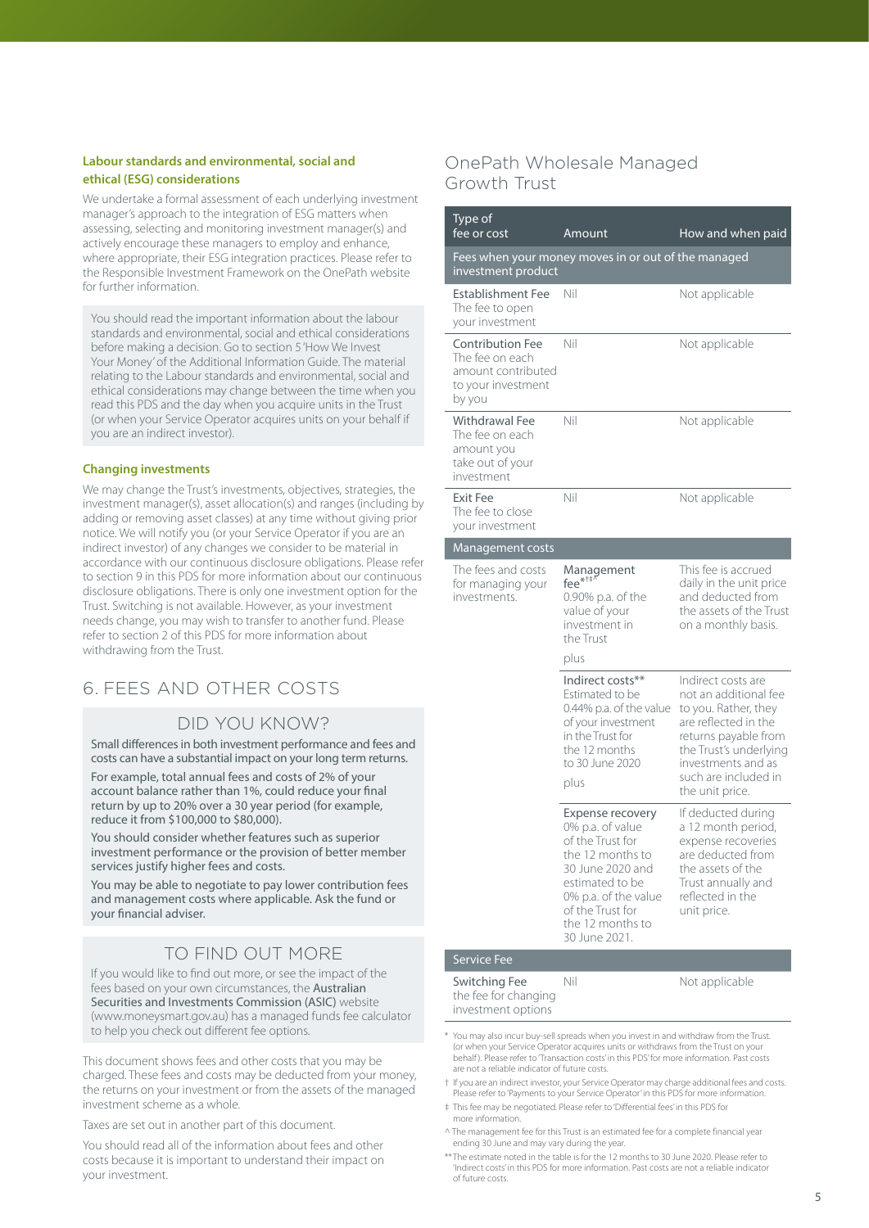### <span id="page-5-0"></span>**Labour standards and environmental, social and ethical (ESG) considerations**

We undertake a formal assessment of each underlying investment manager's approach to the integration of ESG matters when assessing, selecting and monitoring investment manager(s) and actively encourage these managers to employ and enhance, where appropriate, their ESG integration practices. Please refer to the Responsible Investment Framework on the OnePath website for further information.

You should read the important information about the labour standards and environmental, social and ethical considerations before making a decision. Go to section 5 'How We Invest Your Money' of the Additional Information Guide. The material relating to the Labour standards and environmental, social and ethical considerations may change between the time when you read this PDS and the day when you acquire units in the Trust (or when your Service Operator acquires units on your behalf if you are an indirect investor).

### **Changing investments**

We may change the Trust's investments, objectives, strategies, the investment manager(s), asset allocation(s) and ranges (including by adding or removing asset classes) at any time without giving prior notice. We will notify you (or your Service Operator if you are an indirect investor) of any changes we consider to be material in accordance with our continuous disclosure obligations. Please refer to section 9 in this PDS for more information about our continuous disclosure obligations. There is only one investment option for the Trust. Switching is not available. However, as your investment needs change, you may wish to transfer to another fund. Please refer to section 2 of this PDS for more information about withdrawing from the Trust.

# 6. FEES AND OTHER COSTS

### DID YOU KNOW?

Small differences in both investment performance and fees and costs can have a substantial impact on your long term returns.

For example, total annual fees and costs of 2% of your account balance rather than 1%, could reduce your final return by up to 20% over a 30 year period (for example, reduce it from \$100,000 to \$80,000).

You should consider whether features such as superior investment performance or the provision of better member services justify higher fees and costs.

You may be able to negotiate to pay lower contribution fees and management costs where applicable. Ask the fund or your financial adviser.

# TO FIND OUT MORE

If you would like to find out more, or see the impact of the fees based on your own circumstances, the Australian Securities and Investments Commission (ASIC) website ([www.moneysmart.gov.au](https://www.moneysmart.gov.au)) has a managed funds fee calculator to help you check out different fee options.

This document shows fees and other costs that you may be charged. These fees and costs may be deducted from your money, the returns on your investment or from the assets of the managed investment scheme as a whole.

Taxes are set out in another part of this document.

You should read all of the information about fees and other costs because it is important to understand their impact on your investment.

# OnePath Wholesale Managed Growth Trust

| Type of<br>fee or cost                                                                           | Amount                                                                                                                                                                                                      | How and when paid                                                                                                                                                                                              |
|--------------------------------------------------------------------------------------------------|-------------------------------------------------------------------------------------------------------------------------------------------------------------------------------------------------------------|----------------------------------------------------------------------------------------------------------------------------------------------------------------------------------------------------------------|
| investment product                                                                               | Fees when your money moves in or out of the managed                                                                                                                                                         |                                                                                                                                                                                                                |
| <b>Establishment Fee</b><br>The fee to open<br>your investment                                   | Nil                                                                                                                                                                                                         | Not applicable                                                                                                                                                                                                 |
| <b>Contribution Fee</b><br>The fee on each<br>amount contributed<br>to your investment<br>by you | Nil                                                                                                                                                                                                         | Not applicable                                                                                                                                                                                                 |
| <b>Withdrawal Fee</b><br>The fee on each<br>amount you<br>take out of your<br>investment         | Nil                                                                                                                                                                                                         | Not applicable                                                                                                                                                                                                 |
| <b>Exit Fee</b><br>The fee to close<br>your investment                                           | Nil                                                                                                                                                                                                         | Not applicable                                                                                                                                                                                                 |
| Management costs                                                                                 |                                                                                                                                                                                                             |                                                                                                                                                                                                                |
| The fees and costs<br>for managing your<br>investments.                                          | Management<br>fee $*^{++\bar{w}}$<br>0.90% p.a. of the<br>value of your<br>investment in<br>the Trust<br>plus                                                                                               | This fee is accrued<br>daily in the unit price<br>and deducted from<br>the assets of the Trust<br>on a monthly basis.                                                                                          |
|                                                                                                  | Indirect costs**<br>Estimated to be<br>0.44% p.a. of the value<br>of your investment<br>in the Trust for<br>the 12 months<br>to 30 June 2020<br>plus                                                        | Indirect costs are<br>not an additional fee<br>to you. Rather, they<br>are reflected in the<br>returns payable from<br>the Trust's underlying<br>investments and as<br>such are included in<br>the unit price. |
|                                                                                                  | <b>Expense recovery</b><br>0% p.a. of value<br>of the Trust for<br>the 12 months to<br>30 June 2020 and<br>estimated to be<br>0% p.a. of the value<br>of the Trust for<br>the 12 months to<br>30 June 2021. | If deducted during<br>a 12 month period,<br>expense recoveries<br>are deducted from<br>the assets of the<br>Trust annually and<br>reflected in the<br>unit price.                                              |
| <b>Service Fee</b>                                                                               |                                                                                                                                                                                                             |                                                                                                                                                                                                                |
| Switching Fee<br>the fee for changing<br>investment options                                      | Nil                                                                                                                                                                                                         | Not applicable                                                                                                                                                                                                 |

\* You may also incur buy-sell spreads when you invest in and withdraw from the Trust. (or when your Service Operator acquires units or withdraws from the Trust on your hehalf). Please refer to 'Transaction costs' in this PDS' for more information. Past costs are not a reliable indicator of future costs.

† If you are an indirect investor, your Service Operator may charge additional fees and costs. Please refer to 'Payments to your Service Operator' in this PDS for more information.

‡ This fee may be negotiated. Please refer to 'Differential fees' in this PDS for more information.

^ The management fee for this Trust is an estimated fee for a complete financial year ending 30 June and may vary during the year.

\*\*The estimate noted in the table is for the 12 months to 30 June 2020. Please refer to 'Indirect costs' in this PDS for more information. Past costs are not a reliable indicator of future costs.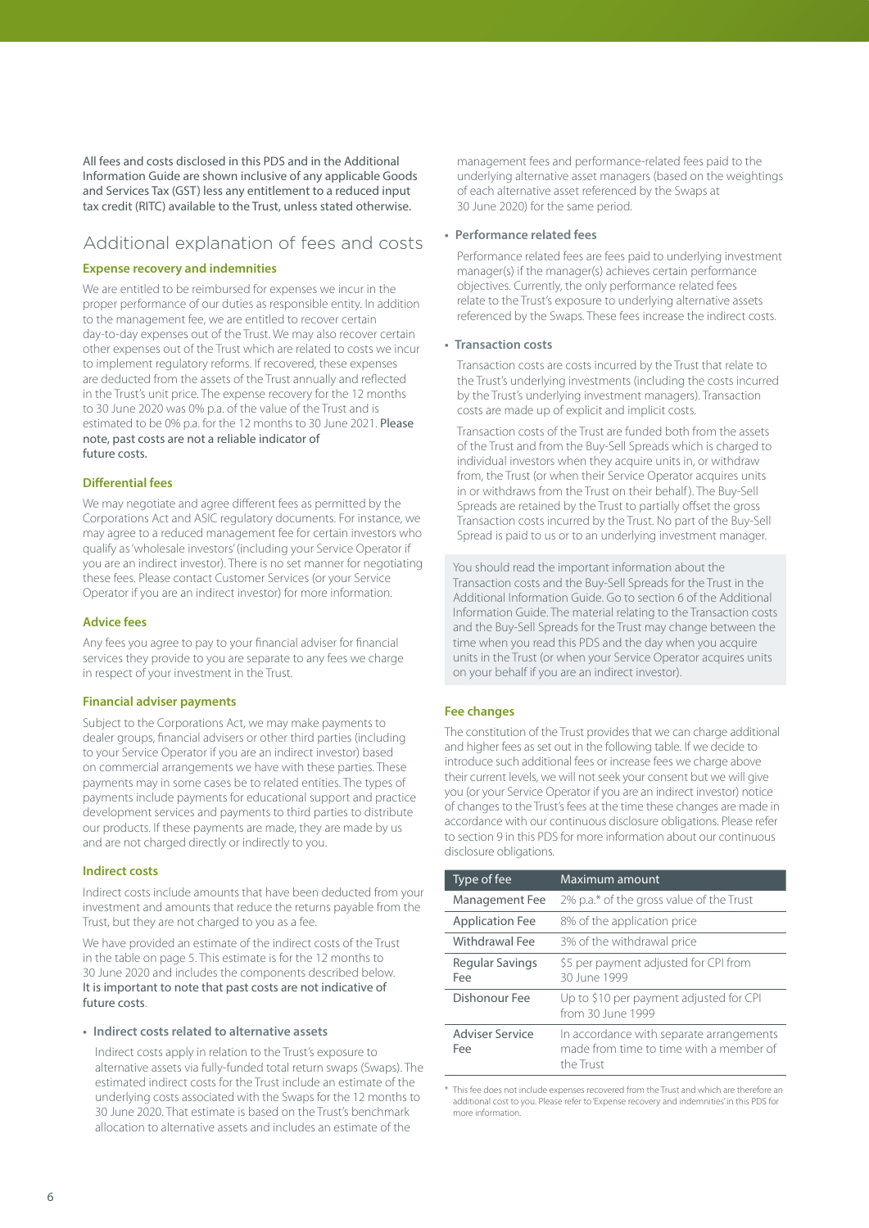All fees and costs disclosed in this PDS and in the Additional Information Guide are shown inclusive of any applicable Goods and Services Tax (GST) less any entitlement to a reduced input tax credit (RITC) available to the Trust, unless stated otherwise.

### Additional explanation of fees and costs

#### **Expense recovery and indemnities**

We are entitled to be reimbursed for expenses we incur in the proper performance of our duties as responsible entity. In addition to the management fee, we are entitled to recover certain day-to-day expenses out of the Trust. We may also recover certain other expenses out of the Trust which are related to costs we incur to implement regulatory reforms. If recovered, these expenses are deducted from the assets of the Trust annually and reflected in the Trust's unit price. The expense recovery for the 12 months to 30 June 2020 was 0% p.a. of the value of the Trust and is estimated to be 0% p.a. for the 12 months to 30 June 2021. Please note, past costs are not a reliable indicator of future costs.

#### **Differential fees**

We may negotiate and agree different fees as permitted by the Corporations Act and ASIC regulatory documents. For instance, we may agree to a reduced management fee for certain investors who qualify as 'wholesale investors' (including your Service Operator if you are an indirect investor). There is no set manner for negotiating these fees. Please contact Customer Services (or your Service Operator if you are an indirect investor) for more information.

#### **Advice fees**

Any fees you agree to pay to your financial adviser for financial services they provide to you are separate to any fees we charge in respect of your investment in the Trust.

#### **Financial adviser payments**

Subject to the Corporations Act, we may make payments to dealer groups, financial advisers or other third parties (including to your Service Operator if you are an indirect investor) based on commercial arrangements we have with these parties. These payments may in some cases be to related entities. The types of payments include payments for educational support and practice development services and payments to third parties to distribute our products. If these payments are made, they are made by us and are not charged directly or indirectly to you.

#### **Indirect costs**

Indirect costs include amounts that have been deducted from your investment and amounts that reduce the returns payable from the Trust, but they are not charged to you as a fee.

We have provided an estimate of the indirect costs of the Trust in the table on page 5. This estimate is for the 12 months to 30 June 2020 and includes the components described below. It is important to note that past costs are not indicative of future costs.

### **• Indirect costs related to alternative assets**

Indirect costs apply in relation to the Trust's exposure to alternative assets via fully-funded total return swaps (Swaps). The estimated indirect costs for the Trust include an estimate of the underlying costs associated with the Swaps for the 12 months to 30 June 2020. That estimate is based on the Trust's benchmark allocation to alternative assets and includes an estimate of the

management fees and performance-related fees paid to the underlying alternative asset managers (based on the weightings of each alternative asset referenced by the Swaps at 30 June 2020) for the same period.

#### **• Performance related fees**

Performance related fees are fees paid to underlying investment manager(s) if the manager(s) achieves certain performance objectives. Currently, the only performance related fees relate to the Trust's exposure to underlying alternative assets referenced by the Swaps. These fees increase the indirect costs.

#### **• Transaction costs**

Transaction costs are costs incurred by the Trust that relate to the Trust's underlying investments (including the costs incurred by the Trust's underlying investment managers). Transaction costs are made up of explicit and implicit costs.

Transaction costs of the Trust are funded both from the assets of the Trust and from the Buy-Sell Spreads which is charged to individual investors when they acquire units in, or withdraw from, the Trust (or when their Service Operator acquires units in or withdraws from the Trust on their behalf). The Buy-Sell Spreads are retained by the Trust to partially offset the gross Transaction costs incurred by the Trust. No part of the Buy-Sell Spread is paid to us or to an underlying investment manager.

You should read the important information about the Transaction costs and the Buy-Sell Spreads for the Trust in the Additional Information Guide. Go to section 6 of the Additional Information Guide. The material relating to the Transaction costs and the Buy-Sell Spreads for the Trust may change between the time when you read this PDS and the day when you acquire units in the Trust (or when your Service Operator acquires units on your behalf if you are an indirect investor).

#### **Fee changes**

The constitution of the Trust provides that we can charge additional and higher fees as set out in the following table. If we decide to introduce such additional fees or increase fees we charge above their current levels, we will not seek your consent but we will give you (or your Service Operator if you are an indirect investor) notice of changes to the Trust's fees at the time these changes are made in accordance with our continuous disclosure obligations. Please refer to section 9 in this PDS for more information about our continuous disclosure obligations.

| Type of fee                   | Maximum amount                                                                                   |
|-------------------------------|--------------------------------------------------------------------------------------------------|
| Management Fee                | 2% p.a.* of the gross value of the Trust                                                         |
| <b>Application Fee</b>        | 8% of the application price                                                                      |
| Withdrawal Fee                | 3% of the withdrawal price                                                                       |
| Regular Savings<br>Fee        | \$5 per payment adjusted for CPI from<br>30 June 1999                                            |
| Dishonour Fee                 | Up to \$10 per payment adjusted for CPI<br>from 30 June 1999                                     |
| <b>Adviser Service</b><br>Fee | In accordance with separate arrangements<br>made from time to time with a member of<br>the Trust |

\* This fee does not include expenses recovered from the Trust and which are therefore an additional cost to you. Please refer to 'Expense recovery and indemnities' in this PDS for more information.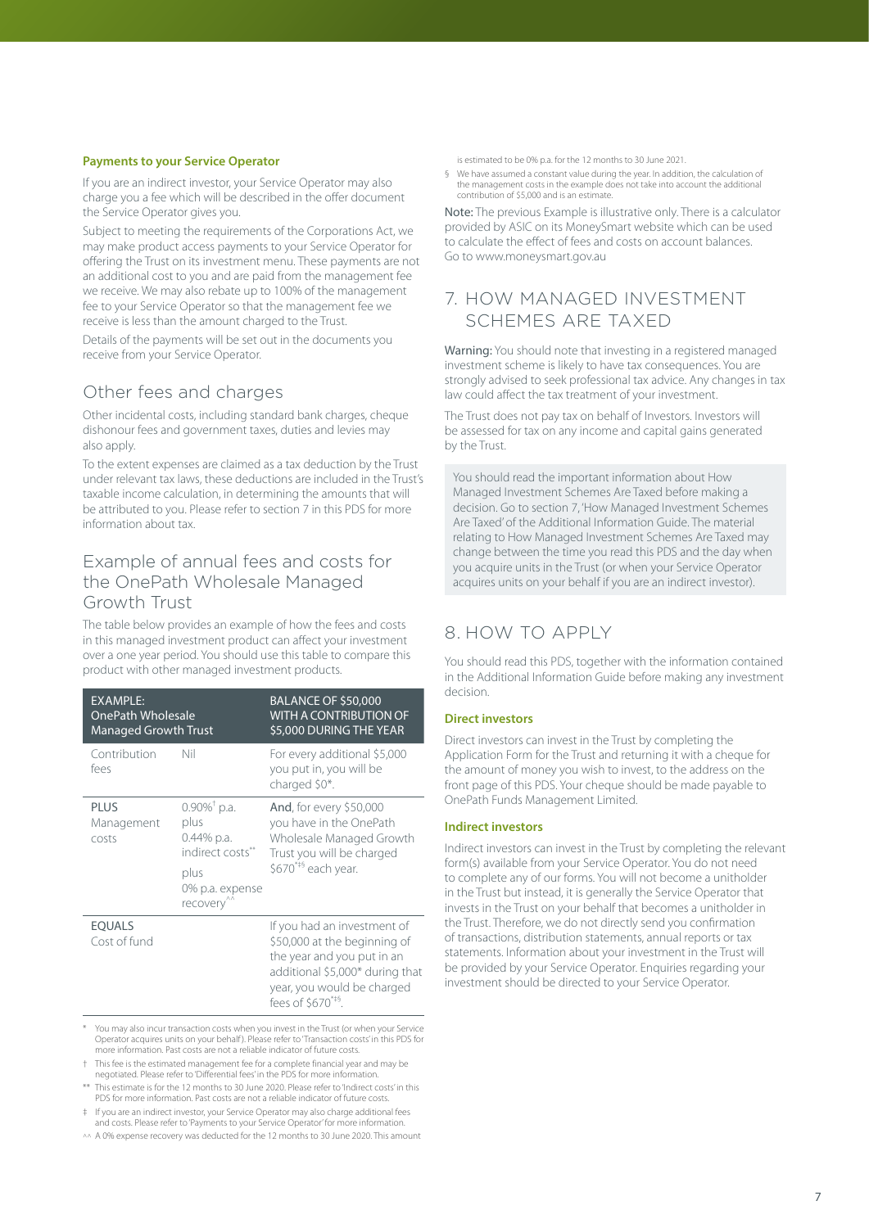#### <span id="page-7-0"></span>**Payments to your Service Operator**

If you are an indirect investor, your Service Operator may also charge you a fee which will be described in the offer document the Service Operator gives you.

Subject to meeting the requirements of the Corporations Act, we may make product access payments to your Service Operator for offering the Trust on its investment menu. These payments are not an additional cost to you and are paid from the management fee we receive. We may also rebate up to 100% of the management fee to your Service Operator so that the management fee we receive is less than the amount charged to the Trust.

Details of the payments will be set out in the documents you receive from your Service Operator.

# Other fees and charges

Other incidental costs, including standard bank charges, cheque dishonour fees and government taxes, duties and levies may also apply.

To the extent expenses are claimed as a tax deduction by the Trust under relevant tax laws, these deductions are included in the Trust's taxable income calculation, in determining the amounts that will be attributed to you. Please refer to section 7 in this PDS for more information about tax.

## Example of annual fees and costs for the OnePath Wholesale Managed Growth Trust

The table below provides an example of how the fees and costs in this managed investment product can affect your investment over a one year period. You should use this table to compare this product with other managed investment products.

| <b>EXAMPLE:</b><br><b>OnePath Wholesale</b><br><b>Managed Growth Trust</b> |                                                                                                                             | <b>BALANCE OF \$50,000</b><br><b>WITH A CONTRIBUTION OF</b><br>\$5,000 DURING THE YEAR                                                                                                     |
|----------------------------------------------------------------------------|-----------------------------------------------------------------------------------------------------------------------------|--------------------------------------------------------------------------------------------------------------------------------------------------------------------------------------------|
| Contribution<br>fees                                                       | Nil                                                                                                                         | For every additional \$5,000<br>you put in, you will be<br>charged \$0*.                                                                                                                   |
| <b>PLUS</b><br>Management<br>costs                                         | $0.90\%$ <sup>†</sup> p.a.<br>plus<br>$0.44\%$ p.a.<br>indirect costs**<br>plus<br>0% p.a. expense<br>recovery <sup>"</sup> | <b>And, for every \$50,000</b><br>you have in the OnePath<br>Wholesale Managed Growth<br>Trust you will be charged<br>\$670**§ each year.                                                  |
| <b>EQUALS</b><br>Cost of fund                                              |                                                                                                                             | If you had an investment of<br>\$50,000 at the beginning of<br>the year and you put in an<br>additional \$5,000* during that<br>year, you would be charged<br>fees of $$670^{\text{*}}$$ . |

\* You may also incur transaction costs when you invest in the Trust (or when your Service Operator acquires units on your behalf ). Please refer to 'Transaction costs' in this PDS for more information. Past costs are not a reliable indicator of future costs.

- † This fee is the estimated management fee for a complete financial year and may be negotiated. Please refer to 'Differential fees' in the PDS for more information.
- \*\* This estimate is for the 12 months to 30 June 2020. Please refer to 'Indirect costs' in this PDS for more information. Past costs are not a reliable indicator of future costs.
- ‡ If you are an indirect investor, your Service Operator may also charge additional fees and costs. Please refer to 'Payments to your Service Operator' for more information.
- ^^ A 0% expense recovery was deducted for the 12 months to 30 June 2020. This amount

is estimated to be 0% p.a. for the 12 months to 30 June 2021.

§ We have assumed a constant value during the year. In addition, the calculation of the management costs in the example does not take into account the additional contribution of \$5,000 and is an estimate.

Note: The previous Example is illustrative only. There is a calculator provided by ASIC on its MoneySmart website which can be used to calculate the effect of fees and costs on account balances. Go to [www.moneysmart.gov.au](https://www.moneysmart.gov.au)

# 7. HOW MANAGED INVESTMENT SCHEMES ARE TAXED

Warning: You should note that investing in a registered managed investment scheme is likely to have tax consequences. You are strongly advised to seek professional tax advice. Any changes in tax law could affect the tax treatment of your investment.

The Trust does not pay tax on behalf of Investors. Investors will be assessed for tax on any income and capital gains generated by the Trust.

You should read the important information about How Managed Investment Schemes Are Taxed before making a decision. Go to section 7, 'How Managed Investment Schemes Are Taxed' of the Additional Information Guide. The material relating to How Managed Investment Schemes Are Taxed may change between the time you read this PDS and the day when you acquire units in the Trust (or when your Service Operator acquires units on your behalf if you are an indirect investor).

# 8. HOW TO APPLY

You should read this PDS, together with the information contained in the Additional Information Guide before making any investment decision.

### **Direct investors**

Direct investors can invest in the Trust by completing the Application Form for the Trust and returning it with a cheque for the amount of money you wish to invest, to the address on the front page of this PDS. Your cheque should be made payable to OnePath Funds Management Limited.

### **Indirect investors**

Indirect investors can invest in the Trust by completing the relevant form(s) available from your Service Operator. You do not need to complete any of our forms. You will not become a unitholder in the Trust but instead, it is generally the Service Operator that invests in the Trust on your behalf that becomes a unitholder in the Trust. Therefore, we do not directly send you confirmation of transactions, distribution statements, annual reports or tax statements. Information about your investment in the Trust will be provided by your Service Operator. Enquiries regarding your investment should be directed to your Service Operator.